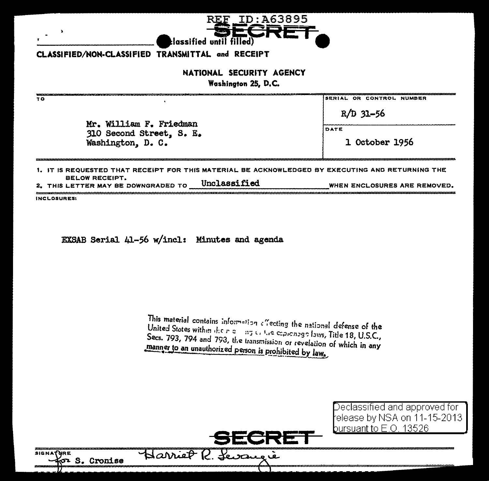| NATIONAL SECURITY AGENCY<br>Washington 25, D.C.     |                          |
|-----------------------------------------------------|--------------------------|
| τо                                                  | SERIAL OR CONTROL NUMBER |
| Mr. William F. Friedman<br>310 Second Street, S. E. | $R/D$ 31-56              |
|                                                     | DATE                     |
| Washington, D. C.                                   | 1 October 1956           |

lassified until filled):

ID: A63895

 $\mathbf{1}$ **BELOW RECEIPT.** Unclassified WHEN ENCLOSURES ARE REMOVED.

2. THIS LETTER MAY BE DOWNGRADED TO

INCLOSURES:

 $\lambda$ 

EXSAB Serial 41-56 w/incl: Minutes and agenda

This material contains information effecting the national defense of the United States within the right and the expressed laws, Title 18, U.S.C., Secs. 793, 794 and 793, the transmission or revelation of which in any manner to an unauthorized person is prohibited by law.

> Declassified and approved for elease by NSA on 11-15-2013 bursuant to E.O. 13526



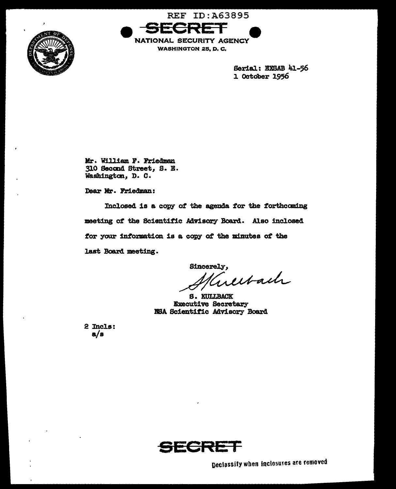



**WASHINGTON 25, D. C.** 

Serial: EXSAB 41-56 1 October 1956

Mr. William F. Friedman 310 Second Street, S. E. Washington, D. C.

Dear Mr. Friedman:

Inclosed is a copy of the agenda for the forthcoming meeting of the Scientific Advisory Board. Also inclosed for your information is a copy of the minutes of the last Board meeting.

Sincerely, erectach

S. KULLBACK **Executive Secretary** NSA Scientific Advisory Board

2 Incls:  $a/b$ 



Declassify when inclosures are removed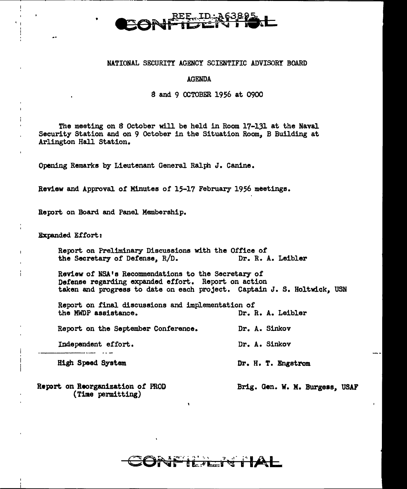### NATIONAL SECURITY AGENCY SCIENTIFIC ADVISORY BOARD

## AGENDA

# 8 and 9 OCTOBER 1956 at 0900

The meeting on *8* October will be held in Room 17-131 at the Naval Security Station and on 9 October in the Situation Room, B Building at Arlington Hall Station.

Opening Remarks by Lieutenant General Ralph J. Canine.

Review and Approval or Minutes or 15-17 February 1956 meetings.

Report on Board and Panel Membership.

Expanded Effort:

' I •

Report on Preliminary Discussions with the Office of the Secretary of Defense,  $R/D$ . Dr. R. A. Leibler the Secretary of Defense,  $R/D$ .

Review of NSA's Recommendations to the Secretary of Defense regarding expanded effort. Report on action taken and progress to date on each project. Captain J. S. Holtwick, USN

Report on final discussions and implementation of<br>the MWDP assistance. Dr. R. A. Leibler the MWDP assistance.

Report on the September Conference. Dr. A. Sinkov

Independent effort.

High Speed System

Report on Reorganization of PROD (Time permitting)

Brig. Gen. W. M. Burgess, USAF

Dr. A. Sinkov

Dr. H. T. Engstrom

# $t \sim \tau$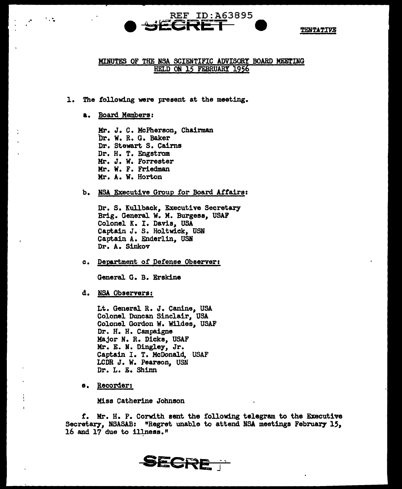

# MINUTFS OF THE NSA SCIENTIFIC ADVISORY BOARD MEETING HELD ON 15 FEBRUARY l956

REF ID:A63895

- l. The following were present at the meeting.
	- a. Board Members:

.-

Mr. J. C. McPherson. Chairman br. w. R. G. Baker Dr. Stewart s. Cairns Dr. H. T. Engstrom Kr. J. w. Forrester Mr. w. F. Friedman Mr. A. w. Horton

b. NSA Executive Group for Board Affairs:

Dr. S. Kullback, Executive Secretary Brig. General w. M. Burgess., USAF Colonel K. I. Davis, USA Captain J. S. Holtwick, USN Captain A. Enderlin., USN Dr. A. Sinkov

c. Department of Defense Observer:

General G. B. Erskine

d. NSA Observers:

Lt. General R. J. Canine, USA Colonel Duncan Sinclair., USA Colonel Gordon W. Wildes, USAF Dr. H. H. Campaigne Major N. R. Dicks, USAF Mr. E. N. Dingley, Jr. Captain I. T. McDonald, USAF LCDR J. W. Pearson, USN Dr. L. E. Shinn

e. Recorder:

Miss Catherine Johnson

*t.* Hr. H. P. Corwith sent the following telegram to the Executive Secretary, NSASAB: "Regret unable to attend NSA meetings February 15, 16 and 17 due to illness."

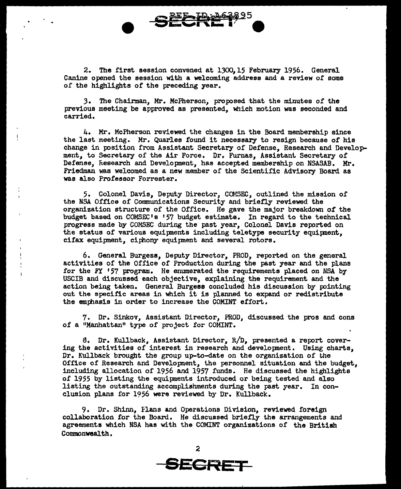2. The first session convened at 1300, 15 February 1956. General Canine opened the session with a welcoming address and a review or some of the highlights of the preceding year.

*3.* The Chairman, Mr. McPherson, proposed that the minutes of the previous meeting be approved as presented, which motion was seconded and carried.

4. Mr. McPherson reviewed the changes in the Board membership since the last meeting. Mr. Quarles found it necessary to resign because of his change in position from Assistant Secretary of Defense, Research and Development, to Secretary of the Air Force. Dr. Furnas, Assistant Secretary of Defense, Research and Development, has accepted membership on NSASAB. Mr. Friedman was welcomed as a new member of the Scientific Advisory Board as was also Professor Forrester.

5. Colonel Davis, Deputy Director, COMSEC, outlined the mission of the NSA Office of Cormnunications Security and briefly reviewed the organization structure of the Office. He gave the major breakdown of the budget baaed on COMSEC's '57 budget estimate. In regard to the technical. progress made by COMSEC during the past year, Colonel Davis reported on the status of various equipnents including teletype security equipnent, cifax equipment, ciphony equipment and several rotors.

6. General Burgess, Deputy Director, PROD, reported on the general activities of the Office of Production during the past year and the plans for the FY '57 program. He enumerated the requirements placed on NSA by USCIB and discussed each objective, explaining the requirement and the action being taken. General Burgess concluded his discussion by pointing out the specific areas in which it is planned to expand or redistribute the emphasis in order to increase the COMINT effort.

7. Dr. Sinkov, Assistant Director, PROD, discussed the pros and cons of a "Manhattan" type of project for COMINT.

a. Dr. Kullback, Assistant Director, R/D, presented a report covering the activities of interest in research and developnent. Using charts, Dr. Kullback brought the group up-to-date on the organization of the Office of Research and Development, the personnel situation and the budget, including allocation of 1956 and 1957 funds. He discussed the highlights of 1955 by listing the equipnents introduced or being tested and also listing the outstanding accomplishments during the past year. In conclusion plans for 1956 were reviewed by Dr. Kullback.

9. Dr. Shinn, Flans and Operations Division, reviewed foreign collaboration for the Board. He discussed briefly the arrangements and agreements which NSA has with the COMINT organizations of the British Commonwealth.

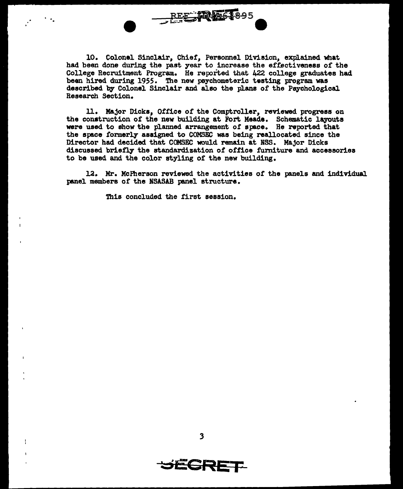10. Colonel Sinclair, Chief, Personnel Division, explained what had been done during the past year to increase the effectiveness of the College Recruitment Program. He reported that 422 college graduates had been hired during 1955. The new peychometeric testing program was described by Colonel Sinclair and also the plans of the Psychological Research Section.

REE MA61895

ll. Major Dicks, Office of the Comptroller, reviewed progress on the construction of the new building at Fort Meade. Schematic layouts were used to show the planned arrangement of space. He reported that the space formerly assigned to COMSEC was being reallocated since the Director had decided that CCMSEC would remain at NSS. Major Dicks discussed briefly the standardization of office furniture and accessories to be used and the color styling of the new building.

12. Mr. McFherson reviewed the activities of the panels and inclividual panel members of the NSASAB panel structure.

This concluded the first session.

·.

**SECRET**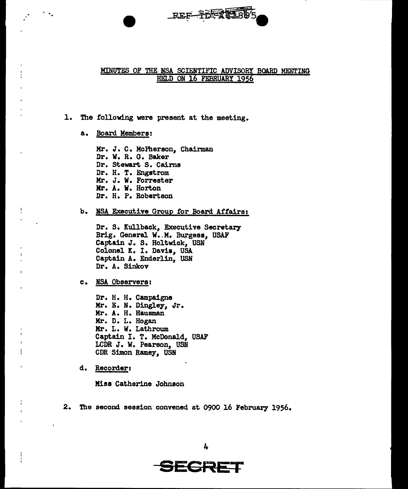

# MINUTES OF THE NSA SCIENTIFIC ADVISORY BOARD MEETING HELD ON 16 FEBRUARY 1956

# l. The following were present at the meeting.

a. Board Members:

·.

Mr. J. C. McPherson, Chairman Dr. W. R. G. Baker Dr. Stewart S. Cairns Dr. H. T. Engstrom Mr. J. w. Forrester Kr. A. W. Horton Dr. H. P. Robertson

b. NSA Executive Group for Board Affairs:

Dr. S. Kullback, Executive Secretary Brig. General W. M. Burgess, USAF Captain J. s. Holtwick, USN Colonel K. I. Davis, USA Captain A. Enderlin, USN Dr. A. Sinkov

c. NSA Observers:

Dr. H. H. Campaigne Kr. E. N. Dingley, Jr. Mr. A. H. Hausman Mr. D. L. Hogan Mr. L. W. Lathroum Captain I. T. McDonald, USAF LCDR J. W. Pearson, USN CDR Simon Ramey, USN

d. Recorder:

 $\overline{1}$ 

ł

Miss Catherine Johnson

2. The second session convened at 0900 16 February 1956.

**SECRET**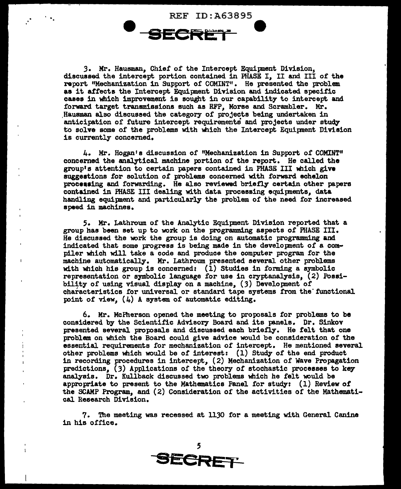REF ID:A63895 **e** 

3. Mr. Hausman, Chief of the Intercept Equipment Division, discussed the intercept portion contained in PHASE I, II and III of the report. "Mechanization in Support. of COMINT" • He presented the problem as it affects the Intercept Equipment Division and indicated specific caaee in which improvement is sought in our capability to intercept and forward target transmissions such as RFP, Morse and Scrambler. Mr. Hausman also discussed the category of projects being undertaken in anticipation of future intercept requirements and projects under study to solve some of the problems with which the Intercept Equipment Division is currently concerned.

4. Mr. Hogan's discussion of "Mechanization in Support of COMINT" concerned the analytical machine portion of the report. He called the group's attention to certain papers contained in PHASE III which give suggeations for solution of problems concerned with forward echelon processing and forwarding. He also reviewed briefly certain other papers contained in FHASE III dealing with data processing equipnents, data handling equipment and particularly the problem of the need for increased speed in machines.

5. Mr. Lathroum of the Analytic Equipnent Division reported that a group has been set up to work on the programming aspects of PHASE III. He discussed the wrk the group is doing on automatic programming and indicated that some progress is being made in the developnent of a compiler which will take a code and produce the computer program for the machine automatically. Mr. Lathroum presented several other problems with which his group is concerned: (1) Studies in forming a symbolic representation or symbolic language for use in cryptanalysis, (2) Possibility of using visual display on a machine, (3) Developnent of characteristics for universal or standard tape systems from the functional point of view.  $(4)$  A system of automatic editing.

6. Mr. McFherson opened the meeting to proposals for problems to be considered by the Scientific Advisory Board and its panels. Dr. Sinkov presented several proposals and discussed each briefly. He felt that one problem on which the Board could give advice would be consideration of the essential requirements for mechanization of intercept. He mentioned several other problems which would be of interest: (1) Study of the end product in recording procedures in intercept,  $(2)$  Mechanization of Wave Propagation predictions, (3) Applications of the theory of stochastic processes to key analysis. Dr. Kullback discussed two problems which he felt would be appropriate to present to the Mathematica Panel for study: (1) Review of the SCAMP Program, and (2) Consideration of the activities or the Mathematical. Research Division.

7. The meeting was recessed at 1130 for a meeting with General Canine in his office.

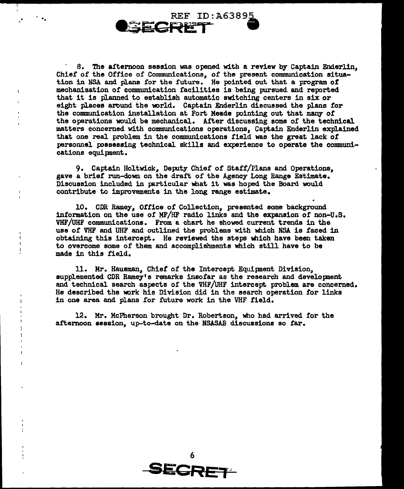

8. The afternoon session was opened with a review by Captain Enderlin, Chief of the Office of Communications, or the present communication situation in NSA and plans for the future. He pointed out that a program of mechanization or communication facilities is being pursued and reported that it is planned to establish automatic switching centers in six or eight places around the world. Captain Enderlin discussed the plans for the communication installation at Fort Meade pointing out that many or the operations wuld be mechanical. Arter discussing some of the technical matters concerned with communications operations, Captain Enderlin explained that one real problem in the communications field was the great lack or personnel possessing technical skills and experience to operate the communications equipnent.

9. Captain Holtwick, Deputy Chief of Staff/Plans and Operations, gave a brief run-down on the draft or the Agency Long Range Estimate. Discussion included in particular what it was hoped the Board would contribute to improvements in the long range estimate.

10. CDR Ramey, Office of Collection, presented some background information on the use or MF/HF radio links and the expansion of non-u.s. VHF/UHF communications. From a chart he showed current trends in the use of VHF and UHF and outlined the problems with which NSA is faced in obtaining this intercept. He reviewed the steps which have been taken to overcome some of them and accomplishments which still have to be made in this field.

11. Mr. Hausman, Chiet of the Intercept Equipnent Division,, supplemented CDR Ramey's remarks insofar as the research and development and technical search aspects of the VHF/UHF intercept problem are concerned. He described the work his Division did in the search operation for links in one area and plans for future work in the VHF field.

12. Mr. McPherson brought Dr. Robertson, who had arrived for the afternoon session, up-to-date on the NSASAB discussions so far.

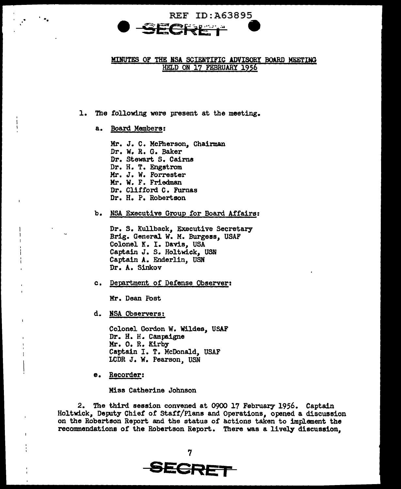

# MINUTES OF THE BSA SCIENTIFIC ADVISORY BOARD MEETING HELD ON 17 FEBRUARY 1956

1. The following were present at the meeting.

a. BQard Members:

Mr. J. c. McPherson, Chairman Dr. w. R. G. Baker Dr. Stewart s. Cairns Dr. H. T. Engstrom Mr. J. W. Forrester Mr. W. F. Friedman Dr. Clifford C. Furnas Dr. H. P. Robertson

b. NSA Executive Group for Board Affairs:

Dr. S. Kullback, Executive Secretary Brig. General w. M. Burgess, USAF Colonel K. I. Davis, USA Captain J. S. Holtwick, USN Captain A. Enderlin, USN Dr. A. Sinkov

c. Department of Defense Observert

Mr. Dean Poet

d. NSA Observers:

Colonel Gordon W. Wildes, USAF<br>Dr. H. H. Campaigne Mr. O. R. Kirby<br>Captain I. T. McDonald, USAF LCDR J. W. Pearson, USN

e. Recorder:

Miss Catherine Johnson

2. The third session convened at 0900 17 February 1956. Captain Holtwick, Deputy Chief of Staff/Plans and Operations, opened a discussion on the Robertson Report and the status of actions taken to implement the recommendations of the Robertson Report. There was a lively discussion,

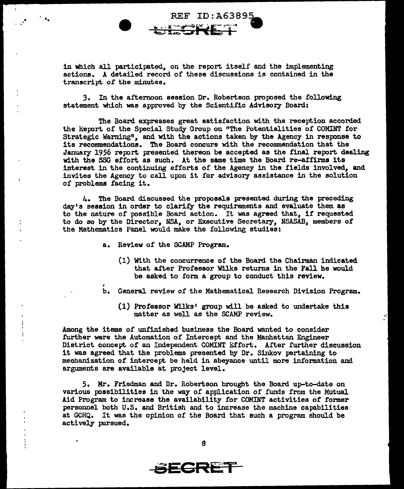in which all participated, on the report itself and the implementing actions. A detailed record of these discussions is contained in the transcript of the minutes.

**REF ID:A63895** 

 $\cdot$   $\cdot$  .

3. In the afternoon session Dr. Robertson proposed the following statement which was approved by the Scientific Advisory Board:

The Board expresses great satisfaction with the reception accorded the Report of the Special Study Group on "The Potentialities of COMINT for Strategic Warning", and with the actions taken by the Agency in response to its recommendations. The Board concurs with the recommendation that the January 1956 report presented thereon be accepted as the final report dealing with the SSG effort as such. At the same time the Board re-affirms its interest in the continuing efforts of the Agency in the fields involved, and invites the Agency to call upon it for advisory assistance in the solution of problems facing it.

4. The Board discussed the proposals presented during the preceding day's session in order to clarify the requirements and evaluate them as to the nature of possible Board action. It was agreed that, if requested to do so by the Director, NSA, or Executive Secretary, NSASAB, members of the Mathematics Panel would make the following studies:

a. Review of the SCAMP Program.

l

- (1) With the concurrence of the Board the Chairman indicated that after Professor Wilks returns in the Fall he would be asked to form a group to conduct this review.
- b. General review of the Mathematical Research Division Program.
	- (1) Proteasor Wilks' group will be asked to undertake this matter as well as the SCAMP review.

Among the items *ot* unfinished business the Board wanted to consider further were the Automation of Intercept and the Manhattan Engineer District concept of an Independent COMINT Effort. After further discussion it was agreed that the problems presented by Dr. Sinkov pertaining to mechanization of intercept be held in abeyance until more information and arguments are available at project level.

5. Mr. Friedman and Dr. Robertson brought the Board up-to-date on various possibilities in the way of application of funds from the Mutual Aid Program to increase the availability for COMINT activities of former personnel both U.S. and British and to increase the machine capabilities at GCHQ. It was the opinion of the Board that such a program should be actively pursued.

**SECRET**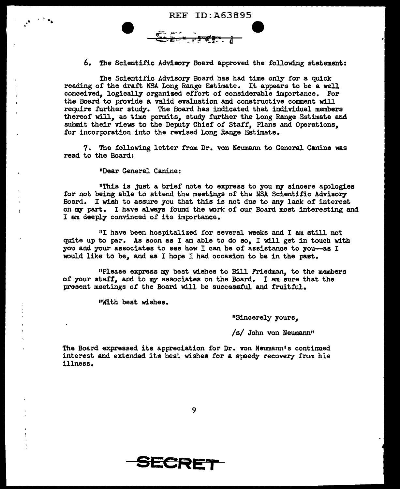REF ID:A63895  $\widehat{\mathbb{S}}$ : $\widehat{\mathbb{F}}$  -  $\widehat{\mathbb{F}}$ 

6. The Scientific Advisory Board approved the following statement:

**-**

The Scientific Advisory Board has had time only for a quick reading of the draft NSA Long Range Estimate. It appears to be a well conceived, logically organized effort of considerable importance. For the Board to provide a valid evaluation and constructive comment will require further study. The Board has indicated that individual members thereof will, as time permits, study further the Long Range Estimate and submit their views to the Deputy Chief of Staff, Plans and Operations, for incorporation into the revised Long Range Estimate.

7. The following letter from Dr. von Neumann to General Canine was read to the Board:

"Dear General Canine:

. • . ••

Ţ

"This is just a brief note to express to you my sincere apologies for not being able to attend the meetings of the NSA Scientific Advisory Board. I wish to assure you that this is not due to any lack of interest on my part. I have always found the work of our Board most interesting and I am deeply convinced of its importance.

"I have been hospitalized !or several weeks and I am still not quite up to par. As soon as I am able to do so, I will get in touch with you and your associates to see how I can be of assistance to you-as I would like to be, and as I hope I had occasion to be in the past.

"Please express my best.wishes to Bill Friedman, to the members of your staff, and to my associates on the Board. I am sure that the present meetings of the Board will be successful and fruitful.

11With best wishes.

"Sincerely yours,

/s/ John von Neumann"

The Board expressed its appreciation for Dr. von Neumann's continued interest and extended its best wishes for a speedy recovery from his illness.

9